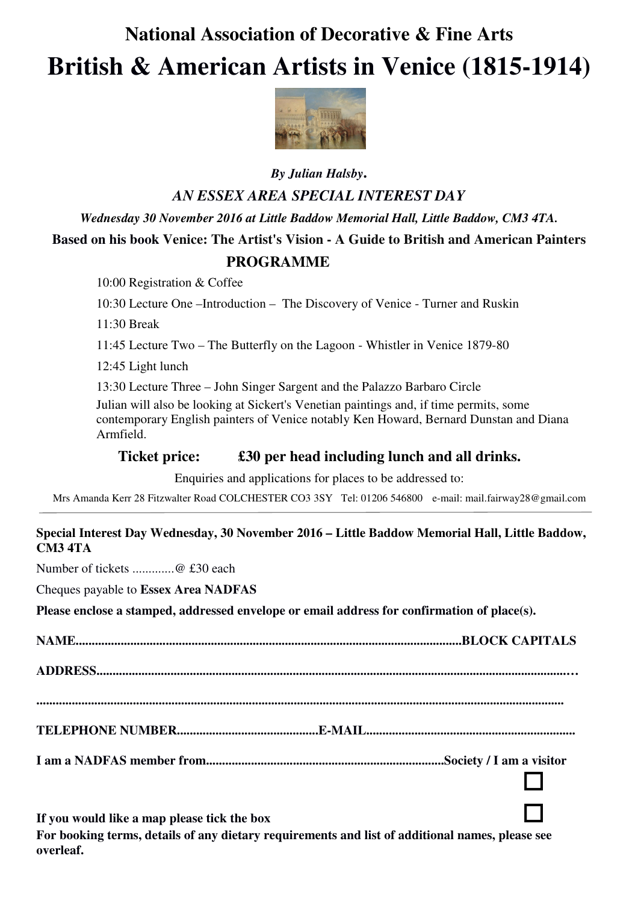# **National Association of Decorative & Fine Arts British & American Artists in Venice (1815-1914)**



## *By Julian Halsby***.** *AN ESSEX AREA SPECIAL INTEREST DAY*

*Wednesday 30 November 2016 at Little Baddow Memorial Hall, Little Baddow, CM3 4TA.* 

## **Based on his book Venice: The Artist's Vision - A Guide to British and American Painters PROGRAMME**

10:00 Registration & Coffee

10:30 Lecture One –Introduction – The Discovery of Venice - Turner and Ruskin

11:30 Break

11:45 Lecture Two – The Butterfly on the Lagoon - Whistler in Venice 1879-80

12:45 Light lunch

13:30 Lecture Three – John Singer Sargent and the Palazzo Barbaro Circle

Julian will also be looking at Sickert's Venetian paintings and, if time permits, some contemporary English painters of Venice notably Ken Howard, Bernard Dunstan and Diana Armfield.

### **Ticket price: £30 per head including lunch and all drinks.**

Enquiries and applications for places to be addressed to:

Mrs Amanda Kerr 28 Fitzwalter Road COLCHESTER CO3 3SY Tel: 01206 546800 e-mail: mail.fairway28@gmail.com

#### **Special Interest Day Wednesday, 30 November 2016 – Little Baddow Memorial Hall, Little Baddow, CM3 4TA**

Number of tickets .............@ £30 each

Cheques payable to **Essex Area NADFAS**

**Please enclose a stamped, addressed envelope or email address for confirmation of place(s).** 

**NAME........................................................................................................................BLOCK CAPITALS ADDRESS..................................................................................................................................................… .................................................................................................................................................................... TELEPHONE NUMBER............................................E-MAIL................................................................. I am a NADFAS member from..........................................................................Society / I am a visitor**   $\overline{\square}$ 

**If you would like a map please tick the box For booking terms, details of any dietary requirements and list of additional names, please see overleaf.**